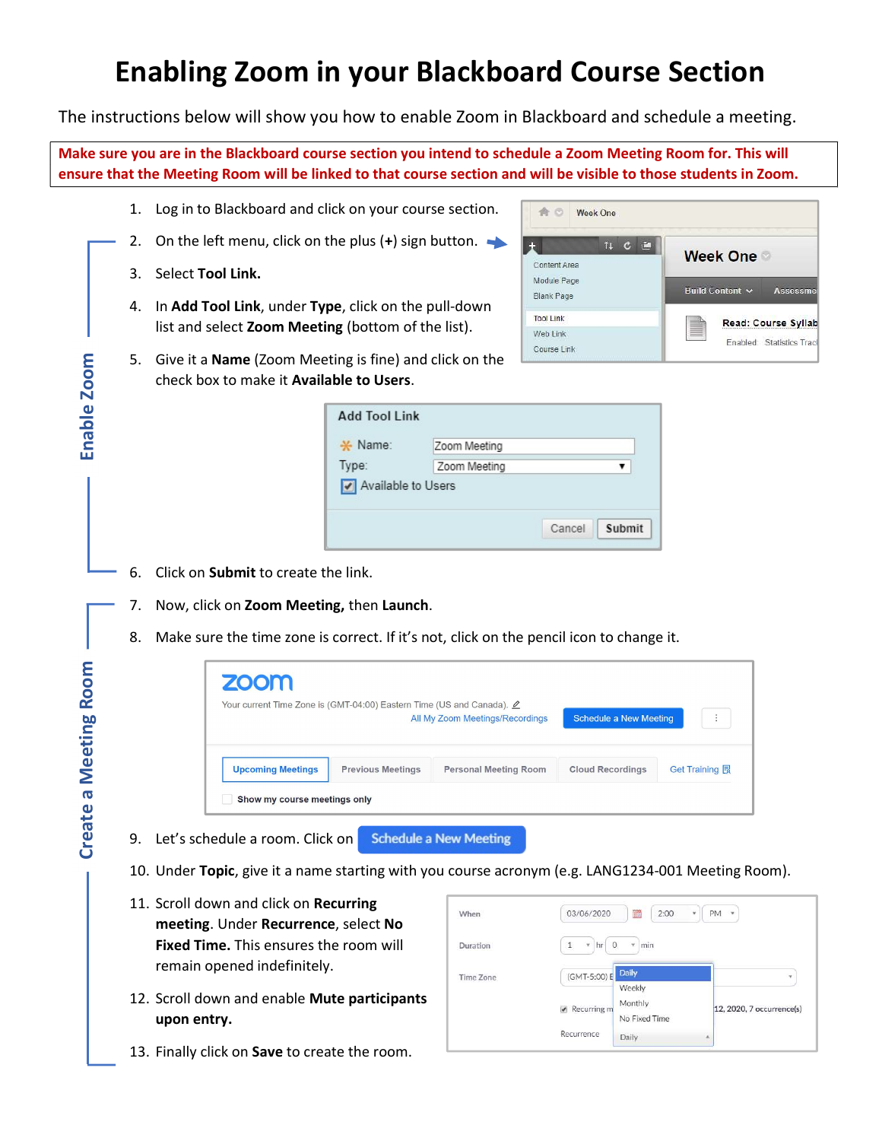## Enabling Zoom in your Blackboard Course Section

The instructions below will show you how to enable Zoom in Blackboard and schedule a meeting.

Make sure you are in the Blackboard course section you intend to schedule a Zoom Meeting Room for. This will ensure that the Meeting Room will be linked to that course section and will be visible to those students in Zoom.

- 1. Log in to Blackboard and click on your course section.
- 2. On the left menu, click on the plus  $(+)$  sign button.
- 3. Select Tool Link.
- 4. In Add Tool Link, under Type, click on the pull-down list and select Zoom Meeting (bottom of the list).



5. Give it a Name (Zoom Meeting is fine) and click on the check box to make it Available to Users.

| <b>Add Tool Link</b> |                  |
|----------------------|------------------|
| * Name:              | Zoom Meeting     |
| Type:                | Zoom Meeting     |
| Available to Users   |                  |
|                      | Submit<br>Cancel |

- 6. Click on **Submit** to create the link.
- 7. Now, click on Zoom Meeting, then Launch.
- 8. Make sure the time zone is correct. If it's not, click on the pencil icon to change it.

|                       | 5. | Give it a <b>Name</b> (Zoom Meeting is fine) and click on the                                  |                                                                  |                               |                                     |                |  |  |
|-----------------------|----|------------------------------------------------------------------------------------------------|------------------------------------------------------------------|-------------------------------|-------------------------------------|----------------|--|--|
|                       |    | check box to make it Available to Users.                                                       |                                                                  |                               |                                     |                |  |  |
| Enable Zoom           |    |                                                                                                | <b>Add Tool Link</b>                                             |                               |                                     |                |  |  |
|                       |    |                                                                                                | $\frac{1}{2}$ Name:                                              | Zoom Meeting                  |                                     |                |  |  |
|                       |    |                                                                                                | Type:                                                            | Zoom Meeting                  | ▼                                   |                |  |  |
|                       |    |                                                                                                | Available to Users                                               |                               |                                     |                |  |  |
|                       |    |                                                                                                |                                                                  |                               | Cancel<br>Submit                    |                |  |  |
|                       | 6. | Click on Submit to create the link.                                                            |                                                                  |                               |                                     |                |  |  |
|                       | 7. | Now, click on Zoom Meeting, then Launch.                                                       |                                                                  |                               |                                     |                |  |  |
|                       |    |                                                                                                |                                                                  |                               |                                     |                |  |  |
|                       | 8. | Make sure the time zone is correct. If it's not, click on the pencil icon to change it.        |                                                                  |                               |                                     |                |  |  |
|                       |    | <b>ZOON</b>                                                                                    |                                                                  |                               |                                     |                |  |  |
|                       |    | Your current Time Zone is (GMT-04:00) Eastern Time (US and Canada). $\angle$                   |                                                                  |                               |                                     |                |  |  |
|                       |    |                                                                                                | <b>Schedule a New Meeting</b><br>All My Zoom Meetings/Recordings |                               |                                     |                |  |  |
|                       |    | <b>Upcoming Meetings</b>                                                                       | <b>Previous Meetings</b>                                         | <b>Personal Meeting Room</b>  | <b>Cloud Recordings</b>             | Get Training 园 |  |  |
| Create a Meeting Room |    | Show my course meetings only                                                                   |                                                                  |                               |                                     |                |  |  |
|                       | 9. | Let's schedule a room. Click on                                                                |                                                                  | <b>Schedule a New Meeting</b> |                                     |                |  |  |
|                       |    | 10. Under Topic, give it a name starting with you course acronym (e.g. LANG1234-001 Meeting Ro |                                                                  |                               |                                     |                |  |  |
|                       |    | 11. Scroll down and click on Recurring                                                         |                                                                  |                               |                                     |                |  |  |
|                       |    | meeting. Under Recurrence, select No                                                           |                                                                  | When                          | 03/06/2020                          | 2:00<br>PM     |  |  |
|                       |    | Fixed Time. This ensures the room will                                                         |                                                                  | Duration                      | $*$ hr 0<br>$\mathbf{1}$<br>$*$ min |                |  |  |
|                       |    | remain opened indefinitely.                                                                    |                                                                  | <b>Time Zone</b>              | Daily<br>(GMT-5:00) E               |                |  |  |
|                       |    | 12. Scroll down and enable Mute participants                                                   |                                                                  |                               | Weekly<br>Monthly                   |                |  |  |
|                       |    | upon entry.                                                                                    |                                                                  |                               | Recurring m<br>No Fixed Time        | 12, 2020, 7 o  |  |  |
|                       |    | 13. Finally click on Save to create the room.                                                  |                                                                  |                               | Recurrence<br>Daily                 |                |  |  |
|                       |    |                                                                                                |                                                                  |                               |                                     |                |  |  |

- 10. Under Topic, give it a name starting with you course acronym (e.g. LANG1234-001 Meeting Room).
- 11. Scroll down and click on Recurring meeting. Under Recurrence, select No Fixed Time. This ensures the room will remain opened indefinitely.
- 12. Scroll down and enable Mute participants upon entry.
- 

| When             | 03/06/2020               | III.<br>2:00<br>٧        | PM<br>i w<br>an an        |
|------------------|--------------------------|--------------------------|---------------------------|
| Duration         | $\circ$<br>¥.<br>hr<br>1 | min<br>٠<br>5500         |                           |
| <b>Time Zone</b> | (GMT-5:00) E             | Daily<br>Weekly          | ٠                         |
|                  | Recurring m              | Monthly<br>No Fixed Time | 12, 2020, 7 occurrence(s) |
|                  | Recurrence               | Daily                    | 业                         |